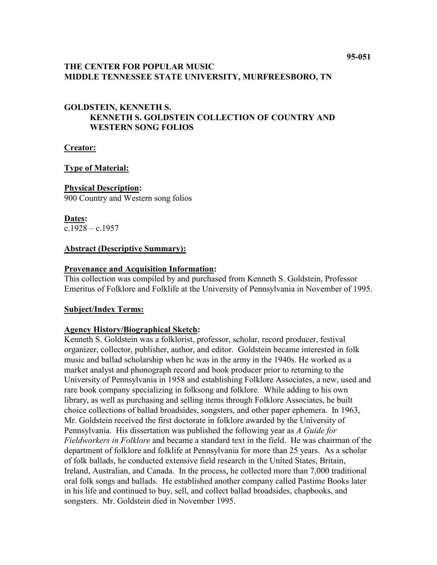## **THE CENTER FOR POPULAR MUSIC MIDDLE TENNESSEE STATE UNIVERSITY, MURFREESBORO, TN**

## **GOLDSTEIN, KENNETH S. KENNETH S. GOLDSTEIN COLLECTION OF COUNTRY AND WESTERN SONG FOLIOS**

**Creator:**

### **Type of Material:**

### **Physical Description:**

900 Country and Western song folios

**Dates:**  $c.1928 - c.1957$ 

### **Abstract (Descriptive Summary):**

### **Provenance and Acquisition Information:**

This collection was compiled by and purchased from Kenneth S. Goldstein, Professor Emeritus of Folklore and Folklife at the University of Pennsylvania in November of 1995.

### **Subject/Index Terms:**

## **Agency History/Biographical Sketch:**

Kenneth S. Goldstein was a folklorist, professor, scholar, record producer, festival organizer, collector, publisher, author, and editor. Goldstein became interested in folk music and ballad scholarship when he was in the army in the 1940s. He worked as a market analyst and phonograph record and book producer prior to returning to the University of Pennsylvania in 1958 and establishing Folklore Associates, a new, used and rare book company specializing in folksong and folklore. While adding to his own library, as well as purchasing and selling items through Folklore Associates, he built choice collections of ballad broadsides, songsters, and other paper ephemera. In 1963, Mr. Goldstein received the first doctorate in folklore awarded by the University of Pennsylvania. His dissertation was published the following year as *A Guide for Fieldworkers in Folklore* and became a standard text in the field. He was chairman of the department of folklore and folklife at Pennsylvania for more than 25 years. As a scholar of folk ballads, he conducted extensive field research in the United States, Britain, Ireland, Australian, and Canada. In the process, he collected more than 7,000 traditional oral folk songs and ballads. He established another company called Pastime Books later in his life and continued to buy, sell, and collect ballad broadsides, chapbooks, and songsters. Mr. Goldstein died in November 1995.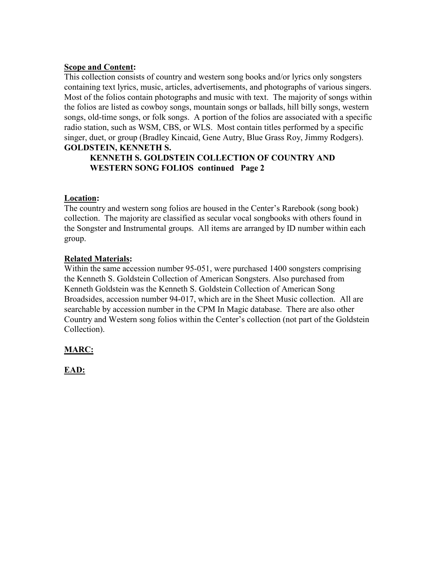## **Scope and Content:**

This collection consists of country and western song books and/or lyrics only songsters containing text lyrics, music, articles, advertisements, and photographs of various singers. Most of the folios contain photographs and music with text. The majority of songs within the folios are listed as cowboy songs, mountain songs or ballads, hill billy songs, western songs, old-time songs, or folk songs. A portion of the folios are associated with a specific radio station, such as WSM, CBS, or WLS. Most contain titles performed by a specific singer, duet, or group (Bradley Kincaid, Gene Autry, Blue Grass Roy, Jimmy Rodgers). **GOLDSTEIN, KENNETH S.**

## **KENNETH S. GOLDSTEIN COLLECTION OF COUNTRY AND WESTERN SONG FOLIOS continued Page 2**

## **Location:**

The country and western song folios are housed in the Center's Rarebook (song book) collection. The majority are classified as secular vocal songbooks with others found in the Songster and Instrumental groups. All items are arranged by ID number within each group.

## **Related Materials:**

Within the same accession number 95-051, were purchased 1400 songsters comprising the Kenneth S. Goldstein Collection of American Songsters. Also purchased from Kenneth Goldstein was the Kenneth S. Goldstein Collection of American Song Broadsides, accession number 94-017, which are in the Sheet Music collection. All are searchable by accession number in the CPM In Magic database. There are also other Country and Western song folios within the Center's collection (not part of the Goldstein Collection).

# **MARC:**

**EAD:**